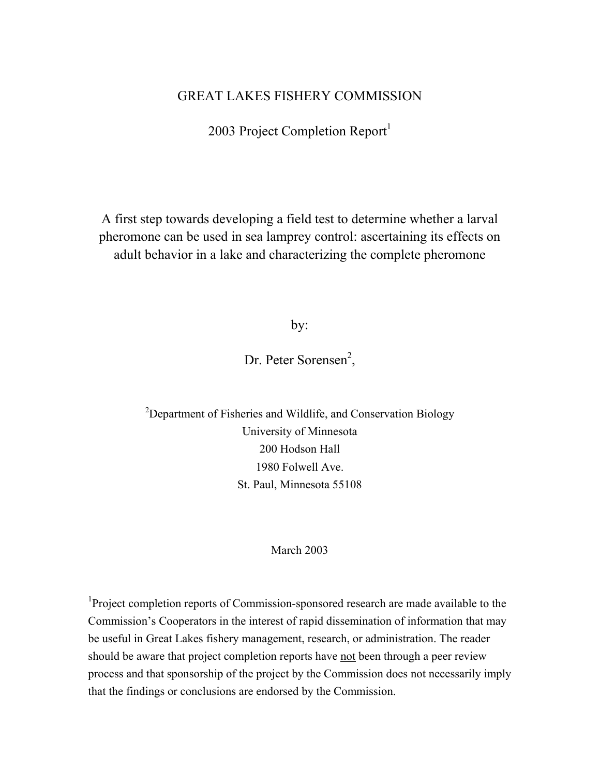# GREAT LAKES FISHERY COMMISSION

2003 Project Completion Report<sup>1</sup>

A first step towards developing a field test to determine whether a larval pheromone can be used in sea lamprey control: ascertaining its effects on adult behavior in a lake and characterizing the complete pheromone

by:

Dr. Peter Sorensen<sup>2</sup>,

 $2$ Department of Fisheries and Wildlife, and Conservation Biology University of Minnesota 200 Hodson Hall 1980 Folwell Ave. St. Paul, Minnesota 55108

#### March 2003

<sup>1</sup>Project completion reports of Commission-sponsored research are made available to the Commission's Cooperators in the interest of rapid dissemination of information that may be useful in Great Lakes fishery management, research, or administration. The reader should be aware that project completion reports have not been through a peer review process and that sponsorship of the project by the Commission does not necessarily imply that the findings or conclusions are endorsed by the Commission.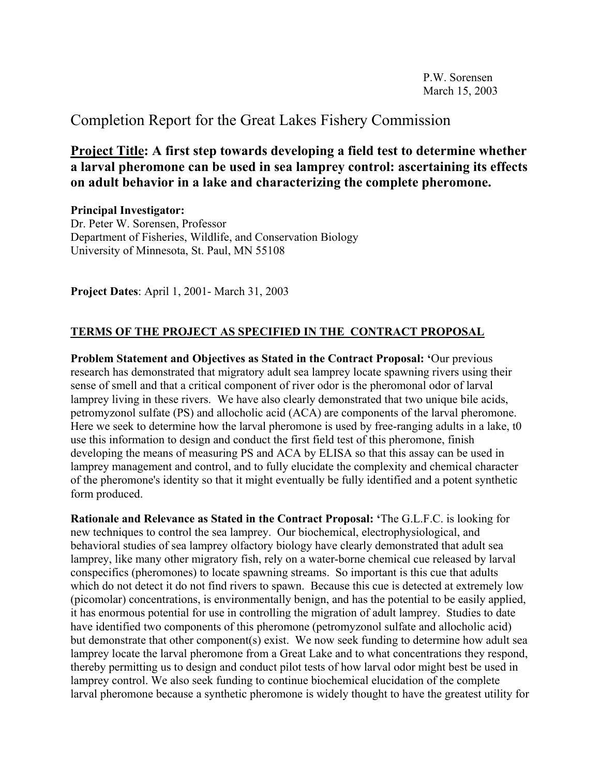# Completion Report for the Great Lakes Fishery Commission

**Project Title: A first step towards developing a field test to determine whether a larval pheromone can be used in sea lamprey control: ascertaining its effects on adult behavior in a lake and characterizing the complete pheromone.** 

**Principal Investigator:** Dr. Peter W. Sorensen, Professor Department of Fisheries, Wildlife, and Conservation Biology University of Minnesota, St. Paul, MN 55108

**Project Dates**: April 1, 2001- March 31, 2003

# **TERMS OF THE PROJECT AS SPECIFIED IN THE CONTRACT PROPOSAL**

**Problem Statement and Objectives as Stated in the Contract Proposal: '**Our previous research has demonstrated that migratory adult sea lamprey locate spawning rivers using their sense of smell and that a critical component of river odor is the pheromonal odor of larval lamprey living in these rivers. We have also clearly demonstrated that two unique bile acids, petromyzonol sulfate (PS) and allocholic acid (ACA) are components of the larval pheromone. Here we seek to determine how the larval pheromone is used by free-ranging adults in a lake, to use this information to design and conduct the first field test of this pheromone, finish developing the means of measuring PS and ACA by ELISA so that this assay can be used in lamprey management and control, and to fully elucidate the complexity and chemical character of the pheromone's identity so that it might eventually be fully identified and a potent synthetic form produced.

**Rationale and Relevance as Stated in the Contract Proposal: '**The G.L.F.C. is looking for new techniques to control the sea lamprey. Our biochemical, electrophysiological, and behavioral studies of sea lamprey olfactory biology have clearly demonstrated that adult sea lamprey, like many other migratory fish, rely on a water-borne chemical cue released by larval conspecifics (pheromones) to locate spawning streams. So important is this cue that adults which do not detect it do not find rivers to spawn. Because this cue is detected at extremely low (picomolar) concentrations, is environmentally benign, and has the potential to be easily applied, it has enormous potential for use in controlling the migration of adult lamprey. Studies to date have identified two components of this pheromone (petromyzonol sulfate and allocholic acid) but demonstrate that other component(s) exist. We now seek funding to determine how adult sea lamprey locate the larval pheromone from a Great Lake and to what concentrations they respond, thereby permitting us to design and conduct pilot tests of how larval odor might best be used in lamprey control. We also seek funding to continue biochemical elucidation of the complete larval pheromone because a synthetic pheromone is widely thought to have the greatest utility for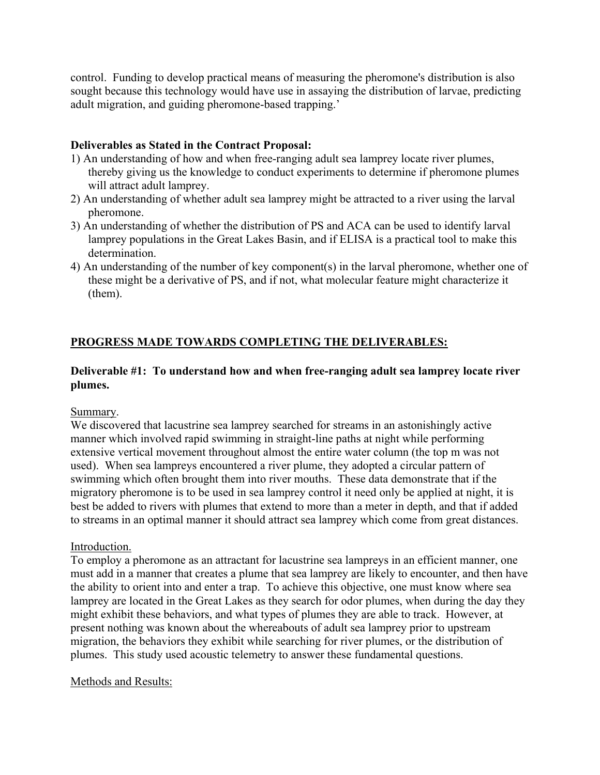control. Funding to develop practical means of measuring the pheromone's distribution is also sought because this technology would have use in assaying the distribution of larvae, predicting adult migration, and guiding pheromone-based trapping.'

# **Deliverables as Stated in the Contract Proposal:**

- 1) An understanding of how and when free-ranging adult sea lamprey locate river plumes, thereby giving us the knowledge to conduct experiments to determine if pheromone plumes will attract adult lamprey.
- 2) An understanding of whether adult sea lamprey might be attracted to a river using the larval pheromone.
- 3) An understanding of whether the distribution of PS and ACA can be used to identify larval lamprey populations in the Great Lakes Basin, and if ELISA is a practical tool to make this determination.
- 4) An understanding of the number of key component(s) in the larval pheromone, whether one of these might be a derivative of PS, and if not, what molecular feature might characterize it (them).

# **PROGRESS MADE TOWARDS COMPLETING THE DELIVERABLES:**

# **Deliverable #1: To understand how and when free-ranging adult sea lamprey locate river plumes.**

# Summary.

We discovered that lacustrine sea lamprey searched for streams in an astonishingly active manner which involved rapid swimming in straight-line paths at night while performing extensive vertical movement throughout almost the entire water column (the top m was not used). When sea lampreys encountered a river plume, they adopted a circular pattern of swimming which often brought them into river mouths. These data demonstrate that if the migratory pheromone is to be used in sea lamprey control it need only be applied at night, it is best be added to rivers with plumes that extend to more than a meter in depth, and that if added to streams in an optimal manner it should attract sea lamprey which come from great distances.

# Introduction.

To employ a pheromone as an attractant for lacustrine sea lampreys in an efficient manner, one must add in a manner that creates a plume that sea lamprey are likely to encounter, and then have the ability to orient into and enter a trap. To achieve this objective, one must know where sea lamprey are located in the Great Lakes as they search for odor plumes, when during the day they might exhibit these behaviors, and what types of plumes they are able to track. However, at present nothing was known about the whereabouts of adult sea lamprey prior to upstream migration, the behaviors they exhibit while searching for river plumes, or the distribution of plumes. This study used acoustic telemetry to answer these fundamental questions.

# Methods and Results: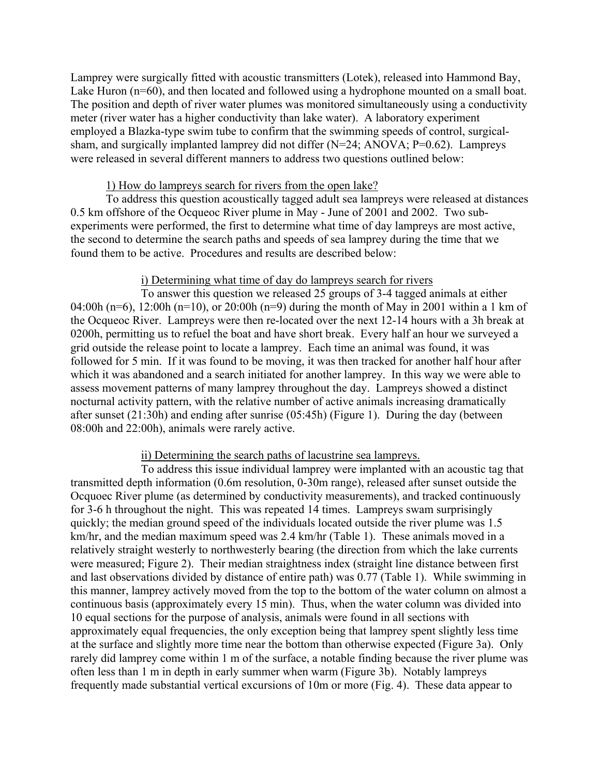Lamprey were surgically fitted with acoustic transmitters (Lotek), released into Hammond Bay, Lake Huron (n=60), and then located and followed using a hydrophone mounted on a small boat. The position and depth of river water plumes was monitored simultaneously using a conductivity meter (river water has a higher conductivity than lake water). A laboratory experiment employed a Blazka-type swim tube to confirm that the swimming speeds of control, surgicalsham, and surgically implanted lamprey did not differ (N=24; ANOVA; P=0.62). Lampreys were released in several different manners to address two questions outlined below:

#### 1) How do lampreys search for rivers from the open lake?

 To address this question acoustically tagged adult sea lampreys were released at distances 0.5 km offshore of the Ocqueoc River plume in May - June of 2001 and 2002. Two subexperiments were performed, the first to determine what time of day lampreys are most active, the second to determine the search paths and speeds of sea lamprey during the time that we found them to be active. Procedures and results are described below:

#### i) Determining what time of day do lampreys search for rivers

 To answer this question we released 25 groups of 3-4 tagged animals at either 04:00h (n=6), 12:00h (n=10), or 20:00h (n=9) during the month of May in 2001 within a 1 km of the Ocqueoc River. Lampreys were then re-located over the next 12-14 hours with a 3h break at 0200h, permitting us to refuel the boat and have short break. Every half an hour we surveyed a grid outside the release point to locate a lamprey. Each time an animal was found, it was followed for 5 min. If it was found to be moving, it was then tracked for another half hour after which it was abandoned and a search initiated for another lamprey. In this way we were able to assess movement patterns of many lamprey throughout the day. Lampreys showed a distinct nocturnal activity pattern, with the relative number of active animals increasing dramatically after sunset (21:30h) and ending after sunrise (05:45h) (Figure 1). During the day (between 08:00h and 22:00h), animals were rarely active.

### ii) Determining the search paths of lacustrine sea lampreys.

 To address this issue individual lamprey were implanted with an acoustic tag that transmitted depth information (0.6m resolution, 0-30m range), released after sunset outside the Ocquoec River plume (as determined by conductivity measurements), and tracked continuously for 3-6 h throughout the night. This was repeated 14 times. Lampreys swam surprisingly quickly; the median ground speed of the individuals located outside the river plume was 1.5 km/hr, and the median maximum speed was 2.4 km/hr (Table 1). These animals moved in a relatively straight westerly to northwesterly bearing (the direction from which the lake currents were measured; Figure 2). Their median straightness index (straight line distance between first and last observations divided by distance of entire path) was 0.77 (Table 1). While swimming in this manner, lamprey actively moved from the top to the bottom of the water column on almost a continuous basis (approximately every 15 min). Thus, when the water column was divided into 10 equal sections for the purpose of analysis, animals were found in all sections with approximately equal frequencies, the only exception being that lamprey spent slightly less time at the surface and slightly more time near the bottom than otherwise expected (Figure 3a). Only rarely did lamprey come within 1 m of the surface, a notable finding because the river plume was often less than 1 m in depth in early summer when warm (Figure 3b). Notably lampreys frequently made substantial vertical excursions of 10m or more (Fig. 4). These data appear to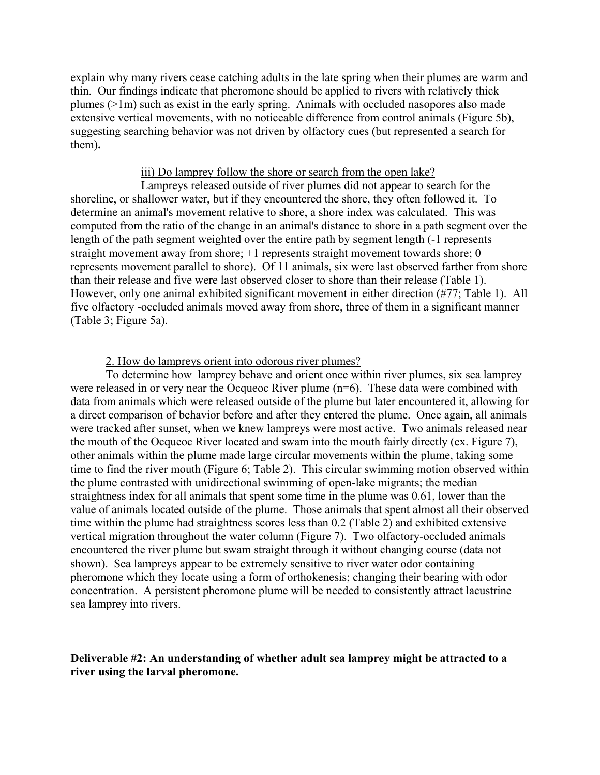explain why many rivers cease catching adults in the late spring when their plumes are warm and thin. Our findings indicate that pheromone should be applied to rivers with relatively thick plumes (>1m) such as exist in the early spring. Animals with occluded nasopores also made extensive vertical movements, with no noticeable difference from control animals (Figure 5b), suggesting searching behavior was not driven by olfactory cues (but represented a search for them)**.**

#### iii) Do lamprey follow the shore or search from the open lake?

 Lampreys released outside of river plumes did not appear to search for the shoreline, or shallower water, but if they encountered the shore, they often followed it. To determine an animal's movement relative to shore, a shore index was calculated. This was computed from the ratio of the change in an animal's distance to shore in a path segment over the length of the path segment weighted over the entire path by segment length (-1 represents straight movement away from shore; +1 represents straight movement towards shore; 0 represents movement parallel to shore). Of 11 animals, six were last observed farther from shore than their release and five were last observed closer to shore than their release (Table 1). However, only one animal exhibited significant movement in either direction (#77; Table 1). All five olfactory -occluded animals moved away from shore, three of them in a significant manner (Table 3; Figure 5a).

#### 2. How do lampreys orient into odorous river plumes?

To determine how lamprey behave and orient once within river plumes, six sea lamprey were released in or very near the Ocqueoc River plume (n=6). These data were combined with data from animals which were released outside of the plume but later encountered it, allowing for a direct comparison of behavior before and after they entered the plume. Once again, all animals were tracked after sunset, when we knew lampreys were most active. Two animals released near the mouth of the Ocqueoc River located and swam into the mouth fairly directly (ex. Figure 7), other animals within the plume made large circular movements within the plume, taking some time to find the river mouth (Figure 6; Table 2). This circular swimming motion observed within the plume contrasted with unidirectional swimming of open-lake migrants; the median straightness index for all animals that spent some time in the plume was 0.61, lower than the value of animals located outside of the plume. Those animals that spent almost all their observed time within the plume had straightness scores less than 0.2 (Table 2) and exhibited extensive vertical migration throughout the water column (Figure 7). Two olfactory-occluded animals encountered the river plume but swam straight through it without changing course (data not shown). Sea lampreys appear to be extremely sensitive to river water odor containing pheromone which they locate using a form of orthokenesis; changing their bearing with odor concentration. A persistent pheromone plume will be needed to consistently attract lacustrine sea lamprey into rivers.

#### **Deliverable #2: An understanding of whether adult sea lamprey might be attracted to a river using the larval pheromone.**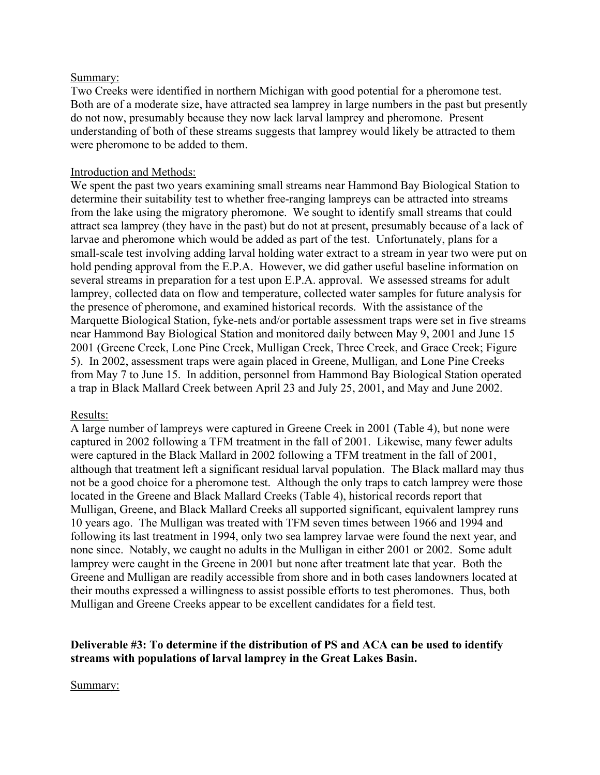## Summary:

Two Creeks were identified in northern Michigan with good potential for a pheromone test. Both are of a moderate size, have attracted sea lamprey in large numbers in the past but presently do not now, presumably because they now lack larval lamprey and pheromone. Present understanding of both of these streams suggests that lamprey would likely be attracted to them were pheromone to be added to them.

# Introduction and Methods:

We spent the past two years examining small streams near Hammond Bay Biological Station to determine their suitability test to whether free-ranging lampreys can be attracted into streams from the lake using the migratory pheromone. We sought to identify small streams that could attract sea lamprey (they have in the past) but do not at present, presumably because of a lack of larvae and pheromone which would be added as part of the test. Unfortunately, plans for a small-scale test involving adding larval holding water extract to a stream in year two were put on hold pending approval from the E.P.A. However, we did gather useful baseline information on several streams in preparation for a test upon E.P.A. approval. We assessed streams for adult lamprey, collected data on flow and temperature, collected water samples for future analysis for the presence of pheromone, and examined historical records. With the assistance of the Marquette Biological Station, fyke-nets and/or portable assessment traps were set in five streams near Hammond Bay Biological Station and monitored daily between May 9, 2001 and June 15 2001 (Greene Creek, Lone Pine Creek, Mulligan Creek, Three Creek, and Grace Creek; Figure 5). In 2002, assessment traps were again placed in Greene, Mulligan, and Lone Pine Creeks from May 7 to June 15. In addition, personnel from Hammond Bay Biological Station operated a trap in Black Mallard Creek between April 23 and July 25, 2001, and May and June 2002.

### Results:

A large number of lampreys were captured in Greene Creek in 2001 (Table 4), but none were captured in 2002 following a TFM treatment in the fall of 2001. Likewise, many fewer adults were captured in the Black Mallard in 2002 following a TFM treatment in the fall of 2001, although that treatment left a significant residual larval population. The Black mallard may thus not be a good choice for a pheromone test. Although the only traps to catch lamprey were those located in the Greene and Black Mallard Creeks (Table 4), historical records report that Mulligan, Greene, and Black Mallard Creeks all supported significant, equivalent lamprey runs 10 years ago. The Mulligan was treated with TFM seven times between 1966 and 1994 and following its last treatment in 1994, only two sea lamprey larvae were found the next year, and none since. Notably, we caught no adults in the Mulligan in either 2001 or 2002. Some adult lamprey were caught in the Greene in 2001 but none after treatment late that year. Both the Greene and Mulligan are readily accessible from shore and in both cases landowners located at their mouths expressed a willingness to assist possible efforts to test pheromones. Thus, both Mulligan and Greene Creeks appear to be excellent candidates for a field test.

## **Deliverable #3: To determine if the distribution of PS and ACA can be used to identify streams with populations of larval lamprey in the Great Lakes Basin.**

Summary: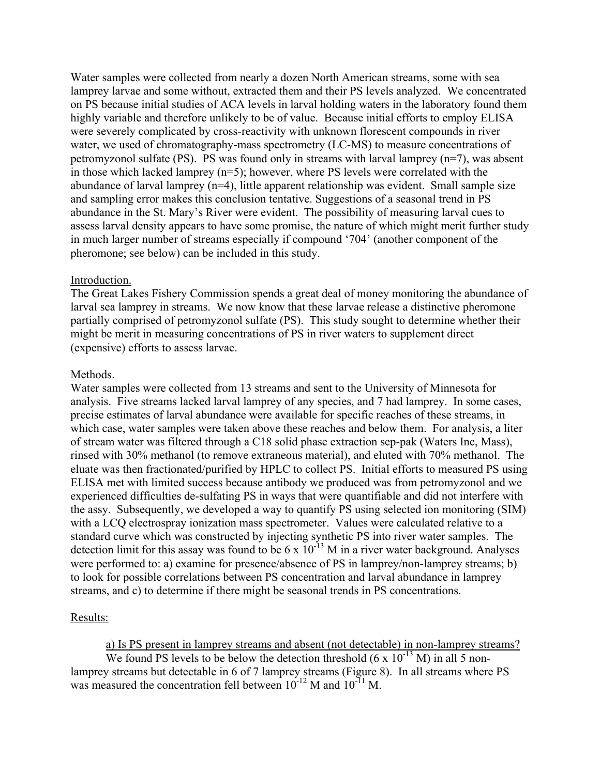Water samples were collected from nearly a dozen North American streams, some with sea lamprey larvae and some without, extracted them and their PS levels analyzed. We concentrated on PS because initial studies of ACA levels in larval holding waters in the laboratory found them highly variable and therefore unlikely to be of value. Because initial efforts to employ ELISA were severely complicated by cross-reactivity with unknown florescent compounds in river water, we used of chromatography-mass spectrometry (LC-MS) to measure concentrations of petromyzonol sulfate (PS). PS was found only in streams with larval lamprey  $(n=7)$ , was absent in those which lacked lamprey (n=5); however, where PS levels were correlated with the abundance of larval lamprey (n=4), little apparent relationship was evident. Small sample size and sampling error makes this conclusion tentative. Suggestions of a seasonal trend in PS abundance in the St. Mary's River were evident. The possibility of measuring larval cues to assess larval density appears to have some promise, the nature of which might merit further study in much larger number of streams especially if compound '704' (another component of the pheromone; see below) can be included in this study.

#### Introduction.

The Great Lakes Fishery Commission spends a great deal of money monitoring the abundance of larval sea lamprey in streams. We now know that these larvae release a distinctive pheromone partially comprised of petromyzonol sulfate (PS). This study sought to determine whether their might be merit in measuring concentrations of PS in river waters to supplement direct (expensive) efforts to assess larvae.

#### Methods.

Water samples were collected from 13 streams and sent to the University of Minnesota for analysis. Five streams lacked larval lamprey of any species, and 7 had lamprey. In some cases, precise estimates of larval abundance were available for specific reaches of these streams, in which case, water samples were taken above these reaches and below them. For analysis, a liter of stream water was filtered through a C18 solid phase extraction sep-pak (Waters Inc, Mass), rinsed with 30% methanol (to remove extraneous material), and eluted with 70% methanol. The eluate was then fractionated/purified by HPLC to collect PS. Initial efforts to measured PS using ELISA met with limited success because antibody we produced was from petromyzonol and we experienced difficulties de-sulfating PS in ways that were quantifiable and did not interfere with the assy. Subsequently, we developed a way to quantify PS using selected ion monitoring (SIM) with a LCQ electrospray ionization mass spectrometer. Values were calculated relative to a standard curve which was constructed by injecting synthetic PS into river water samples. The detection limit for this assay was found to be 6 x  $10^{-13}$  M in a river water background. Analyses were performed to: a) examine for presence/absence of PS in lamprey/non-lamprey streams; b) to look for possible correlations between PS concentration and larval abundance in lamprey streams, and c) to determine if there might be seasonal trends in PS concentrations.

### Results:

a) Is PS present in lamprey streams and absent (not detectable) in non-lamprey streams?

We found PS levels to be below the detection threshold  $(6 \times 10^{-13} \text{ M})$  in all 5 nonlamprey streams but detectable in 6 of 7 lamprey streams (Figure 8). In all streams where PS was measured the concentration fell between  $10^{-12}$  M and  $10^{-11}$  M.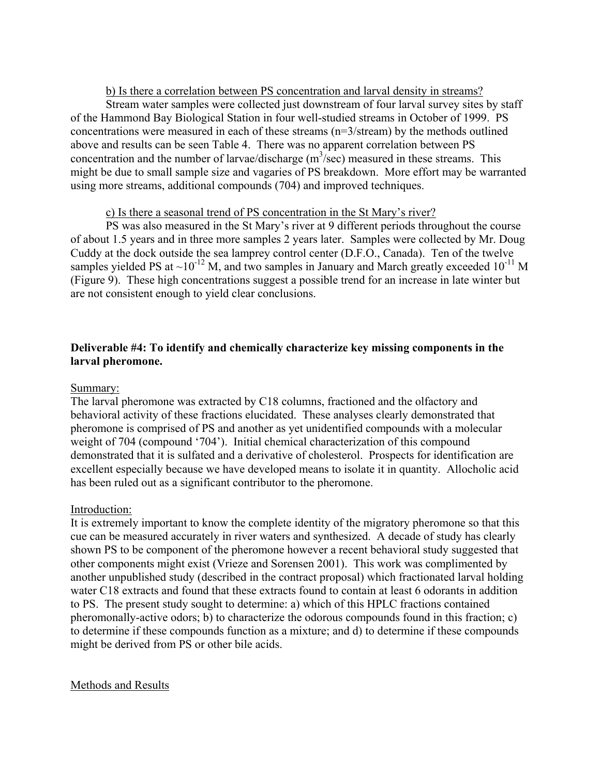## b) Is there a correlation between PS concentration and larval density in streams?

 Stream water samples were collected just downstream of four larval survey sites by staff of the Hammond Bay Biological Station in four well-studied streams in October of 1999. PS concentrations were measured in each of these streams (n=3/stream) by the methods outlined above and results can be seen Table 4. There was no apparent correlation between PS concentration and the number of larvae/discharge  $(m^3/sec)$  measured in these streams. This might be due to small sample size and vagaries of PS breakdown. More effort may be warranted using more streams, additional compounds (704) and improved techniques.

## c) Is there a seasonal trend of PS concentration in the St Mary's river?

 PS was also measured in the St Mary's river at 9 different periods throughout the course of about 1.5 years and in three more samples 2 years later. Samples were collected by Mr. Doug Cuddy at the dock outside the sea lamprey control center (D.F.O., Canada). Ten of the twelve samples yielded PS at  $\sim 10^{-12}$  M, and two samples in January and March greatly exceeded 10<sup>-11</sup> M (Figure 9). These high concentrations suggest a possible trend for an increase in late winter but are not consistent enough to yield clear conclusions.

# **Deliverable #4: To identify and chemically characterize key missing components in the larval pheromone.**

# Summary:

The larval pheromone was extracted by C18 columns, fractioned and the olfactory and behavioral activity of these fractions elucidated. These analyses clearly demonstrated that pheromone is comprised of PS and another as yet unidentified compounds with a molecular weight of 704 (compound '704'). Initial chemical characterization of this compound demonstrated that it is sulfated and a derivative of cholesterol. Prospects for identification are excellent especially because we have developed means to isolate it in quantity. Allocholic acid has been ruled out as a significant contributor to the pheromone.

### Introduction:

It is extremely important to know the complete identity of the migratory pheromone so that this cue can be measured accurately in river waters and synthesized. A decade of study has clearly shown PS to be component of the pheromone however a recent behavioral study suggested that other components might exist (Vrieze and Sorensen 2001). This work was complimented by another unpublished study (described in the contract proposal) which fractionated larval holding water C18 extracts and found that these extracts found to contain at least 6 odorants in addition to PS. The present study sought to determine: a) which of this HPLC fractions contained pheromonally-active odors; b) to characterize the odorous compounds found in this fraction; c) to determine if these compounds function as a mixture; and d) to determine if these compounds might be derived from PS or other bile acids.

### Methods and Results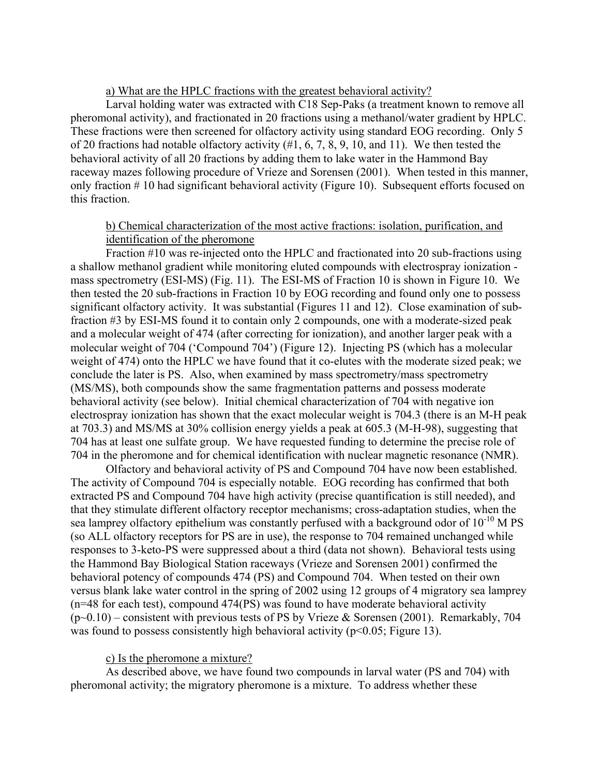#### a) What are the HPLC fractions with the greatest behavioral activity?

 Larval holding water was extracted with C18 Sep-Paks (a treatment known to remove all pheromonal activity), and fractionated in 20 fractions using a methanol/water gradient by HPLC. These fractions were then screened for olfactory activity using standard EOG recording. Only 5 of 20 fractions had notable olfactory activity (#1, 6, 7, 8, 9, 10, and 11). We then tested the behavioral activity of all 20 fractions by adding them to lake water in the Hammond Bay raceway mazes following procedure of Vrieze and Sorensen (2001). When tested in this manner, only fraction # 10 had significant behavioral activity (Figure 10). Subsequent efforts focused on this fraction.

## b) Chemical characterization of the most active fractions: isolation, purification, and identification of the pheromone

 Fraction #10 was re-injected onto the HPLC and fractionated into 20 sub-fractions using a shallow methanol gradient while monitoring eluted compounds with electrospray ionization mass spectrometry (ESI-MS) (Fig. 11). The ESI-MS of Fraction 10 is shown in Figure 10. We then tested the 20 sub-fractions in Fraction 10 by EOG recording and found only one to possess significant olfactory activity. It was substantial (Figures 11 and 12). Close examination of subfraction #3 by ESI-MS found it to contain only 2 compounds, one with a moderate-sized peak and a molecular weight of 474 (after correcting for ionization), and another larger peak with a molecular weight of 704 ('Compound 704') (Figure 12). Injecting PS (which has a molecular weight of 474) onto the HPLC we have found that it co-elutes with the moderate sized peak; we conclude the later is PS. Also, when examined by mass spectrometry/mass spectrometry (MS/MS), both compounds show the same fragmentation patterns and possess moderate behavioral activity (see below). Initial chemical characterization of 704 with negative ion electrospray ionization has shown that the exact molecular weight is 704.3 (there is an M-H peak at 703.3) and MS/MS at 30% collision energy yields a peak at 605.3 (M-H-98), suggesting that 704 has at least one sulfate group. We have requested funding to determine the precise role of 704 in the pheromone and for chemical identification with nuclear magnetic resonance (NMR).

 Olfactory and behavioral activity of PS and Compound 704 have now been established. The activity of Compound 704 is especially notable. EOG recording has confirmed that both extracted PS and Compound 704 have high activity (precise quantification is still needed), and that they stimulate different olfactory receptor mechanisms; cross-adaptation studies, when the sea lamprey olfactory epithelium was constantly perfused with a background odor of  $10^{-10}$  M PS (so ALL olfactory receptors for PS are in use), the response to 704 remained unchanged while responses to 3-keto-PS were suppressed about a third (data not shown). Behavioral tests using the Hammond Bay Biological Station raceways (Vrieze and Sorensen 2001) confirmed the behavioral potency of compounds 474 (PS) and Compound 704. When tested on their own versus blank lake water control in the spring of 2002 using 12 groups of 4 migratory sea lamprey (n=48 for each test), compound 474(PS) was found to have moderate behavioral activity  $(p<0.10)$  – consistent with previous tests of PS by Vrieze & Sorensen (2001). Remarkably, 704 was found to possess consistently high behavioral activity ( $p<0.05$ ; Figure 13).

#### c) Is the pheromone a mixture?

 As described above, we have found two compounds in larval water (PS and 704) with pheromonal activity; the migratory pheromone is a mixture. To address whether these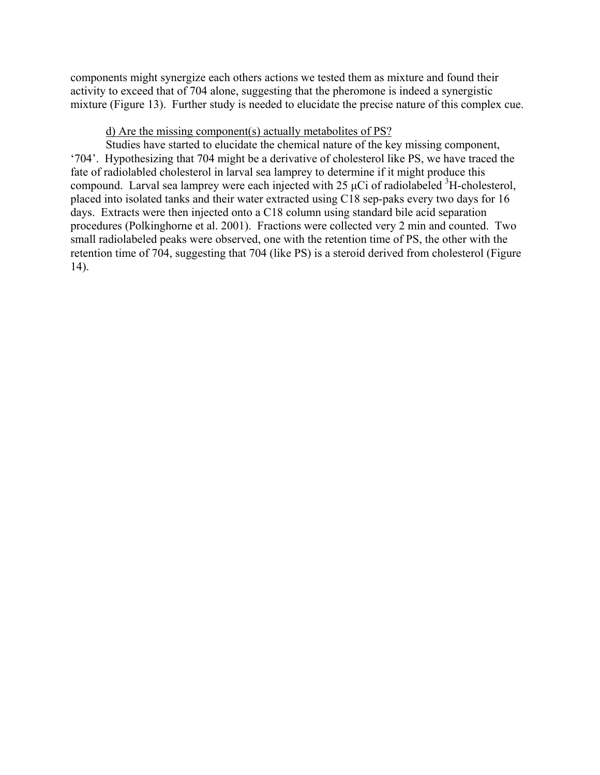components might synergize each others actions we tested them as mixture and found their activity to exceed that of 704 alone, suggesting that the pheromone is indeed a synergistic mixture (Figure 13). Further study is needed to elucidate the precise nature of this complex cue.

### d) Are the missing component(s) actually metabolites of PS?

 Studies have started to elucidate the chemical nature of the key missing component, '704'. Hypothesizing that 704 might be a derivative of cholesterol like PS, we have traced the fate of radiolabled cholesterol in larval sea lamprey to determine if it might produce this compound. Larval sea lamprey were each injected with  $25 \mu$ Ci of radiolabeled  ${}^{3}$ H-cholesterol, placed into isolated tanks and their water extracted using C18 sep-paks every two days for 16 days. Extracts were then injected onto a C18 column using standard bile acid separation procedures (Polkinghorne et al. 2001). Fractions were collected very 2 min and counted. Two small radiolabeled peaks were observed, one with the retention time of PS, the other with the retention time of 704, suggesting that 704 (like PS) is a steroid derived from cholesterol (Figure 14).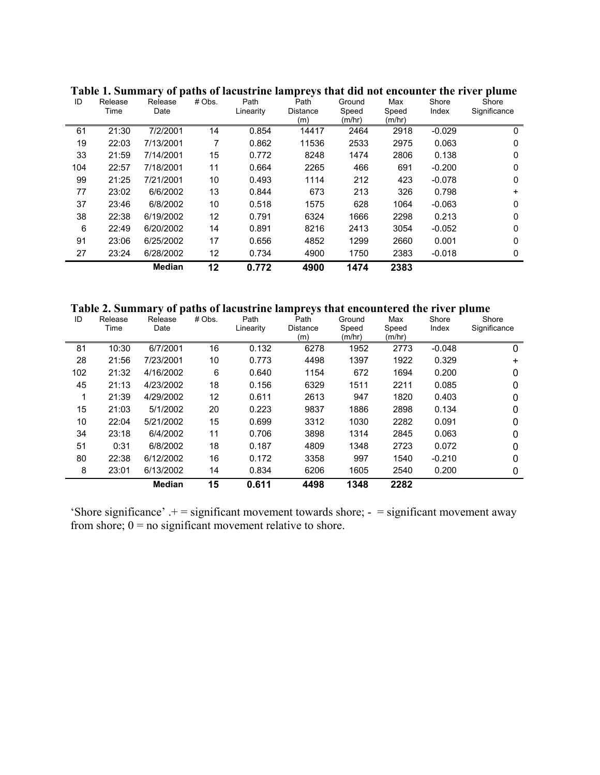| ID  | Release<br>Time | Release<br>Date | # Obs. | Path<br>Linearity | Path<br><b>Distance</b><br>(m) | Ground<br>Speed<br>(m/hr) | Max<br>Speed<br>(m/hr) | Shore<br>Index | Shore<br>Significance |
|-----|-----------------|-----------------|--------|-------------------|--------------------------------|---------------------------|------------------------|----------------|-----------------------|
| 61  | 21:30           | 7/2/2001        | 14     | 0.854             | 14417                          | 2464                      | 2918                   | $-0.029$       | 0                     |
| 19  | 22:03           | 7/13/2001       | 7      | 0.862             | 11536                          | 2533                      | 2975                   | 0.063          | 0                     |
| 33  | 21:59           | 7/14/2001       | 15     | 0.772             | 8248                           | 1474                      | 2806                   | 0.138          | 0                     |
| 104 | 22:57           | 7/18/2001       | 11     | 0.664             | 2265                           | 466                       | 691                    | $-0.200$       | 0                     |
| 99  | 21:25           | 7/21/2001       | 10     | 0.493             | 1114                           | 212                       | 423                    | $-0.078$       | 0                     |
| 77  | 23:02           | 6/6/2002        | 13     | 0.844             | 673                            | 213                       | 326                    | 0.798          | $\ddot{}$             |
| 37  | 23:46           | 6/8/2002        | 10     | 0.518             | 1575                           | 628                       | 1064                   | $-0.063$       | 0                     |
| 38  | 22:38           | 6/19/2002       | 12     | 0.791             | 6324                           | 1666                      | 2298                   | 0.213          | 0                     |
| 6   | 22:49           | 6/20/2002       | 14     | 0.891             | 8216                           | 2413                      | 3054                   | $-0.052$       | 0                     |
| 91  | 23:06           | 6/25/2002       | 17     | 0.656             | 4852                           | 1299                      | 2660                   | 0.001          | 0                     |
| 27  | 23:24           | 6/28/2002       | 12     | 0.734             | 4900                           | 1750                      | 2383                   | $-0.018$       | 0                     |
|     |                 | <b>Median</b>   | 12     | 0.772             | 4900                           | 1474                      | 2383                   |                |                       |

**Table 1. Summary of paths of lacustrine lampreys that did not encounter the river plume** 

**Table 2. Summary of paths of lacustrine lampreys that encountered the river plume** 

| ID  | Release<br>Time | Release<br>Date | # Obs. | Path<br>Linearity | Path<br><b>Distance</b><br>(m) | Ground<br>Speed<br>(m/hr) | Max<br>Speed<br>(m/hr) | Shore<br>Index | Shore<br>Significance |
|-----|-----------------|-----------------|--------|-------------------|--------------------------------|---------------------------|------------------------|----------------|-----------------------|
| 81  | 10:30           | 6/7/2001        | 16     | 0.132             | 6278                           | 1952                      | 2773                   | $-0.048$       | 0                     |
| 28  | 21:56           | 7/23/2001       | 10     | 0.773             | 4498                           | 1397                      | 1922                   | 0.329          | $\ddot{}$             |
| 102 | 21:32           | 4/16/2002       | 6      | 0.640             | 1154                           | 672                       | 1694                   | 0.200          | $\mathbf{0}$          |
| 45  | 21:13           | 4/23/2002       | 18     | 0.156             | 6329                           | 1511                      | 2211                   | 0.085          | 0                     |
| 1   | 21:39           | 4/29/2002       | 12     | 0.611             | 2613                           | 947                       | 1820                   | 0.403          | 0                     |
| 15  | 21:03           | 5/1/2002        | 20     | 0.223             | 9837                           | 1886                      | 2898                   | 0.134          | $\mathbf{0}$          |
| 10  | 22:04           | 5/21/2002       | 15     | 0.699             | 3312                           | 1030                      | 2282                   | 0.091          | 0                     |
| 34  | 23:18           | 6/4/2002        | 11     | 0.706             | 3898                           | 1314                      | 2845                   | 0.063          | $\mathbf{0}$          |
| 51  | 0:31            | 6/8/2002        | 18     | 0.187             | 4809                           | 1348                      | 2723                   | 0.072          | 0                     |
| 80  | 22:38           | 6/12/2002       | 16     | 0.172             | 3358                           | 997                       | 1540                   | $-0.210$       | 0                     |
| 8   | 23:01           | 6/13/2002       | 14     | 0.834             | 6206                           | 1605                      | 2540                   | 0.200          | 0                     |
|     |                 | <b>Median</b>   | 15     | 0.611             | 4498                           | 1348                      | 2282                   |                |                       |

'Shore significance'  $+$  = significant movement towards shore;  $-$  = significant movement away from shore;  $0 =$  no significant movement relative to shore.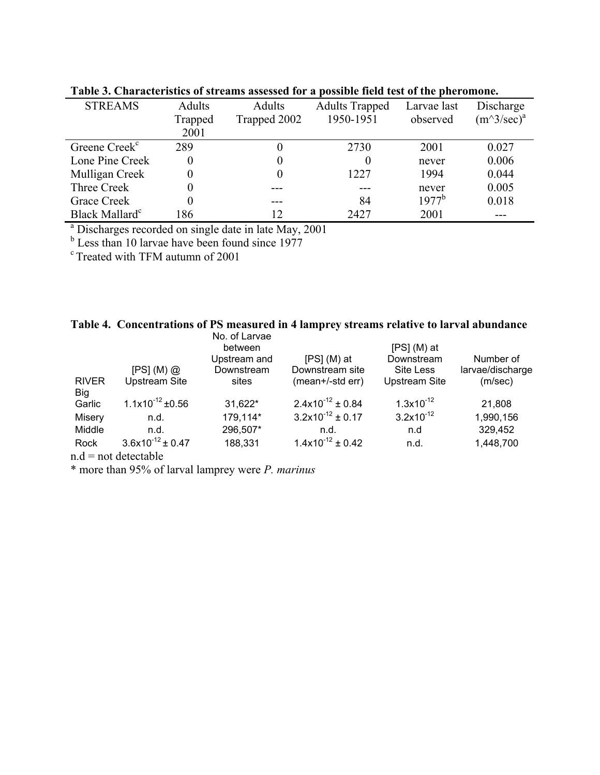| <b>STREAMS</b>                                                    | Adults   | Adults       | <b>Adults Trapped</b> | Larvae last | Discharge            |  |  |  |
|-------------------------------------------------------------------|----------|--------------|-----------------------|-------------|----------------------|--|--|--|
|                                                                   | Trapped  | Trapped 2002 | 1950-1951             | observed    | $(m^3/\text{sec})^a$ |  |  |  |
|                                                                   | 2001     |              |                       |             |                      |  |  |  |
| Greene Creek <sup>c</sup>                                         | 289      | 0            | 2730                  | 2001        | 0.027                |  |  |  |
| Lone Pine Creek                                                   |          | 0            | 0                     | never       | 0.006                |  |  |  |
| Mulligan Creek                                                    | $\Omega$ | 0            | 1227                  | 1994        | 0.044                |  |  |  |
| Three Creek                                                       |          |              |                       | never       | 0.005                |  |  |  |
| Grace Creek                                                       |          |              | 84                    | $1977^b$    | 0.018                |  |  |  |
| Black Mallard <sup>c</sup>                                        | 186      | 12           | 2427                  | 2001        |                      |  |  |  |
| <sup>a</sup> Discharges recorded on single date in late May, 2001 |          |              |                       |             |                      |  |  |  |
| <sup>b</sup> Less than 10 larvae have been found since 1977       |          |              |                       |             |                      |  |  |  |

**Table 3. Characteristics of streams assessed for a possible field test of the pheromone.**

c Treated with TFM autumn of 2001

|  |  |  | Table 4. Concentrations of PS measured in 4 lamprey streams relative to larval abundance |  |  |
|--|--|--|------------------------------------------------------------------------------------------|--|--|
|--|--|--|------------------------------------------------------------------------------------------|--|--|

|                     |                         | No. of Larvae<br>between |                                | $[PS] (M)$ at         |                  |
|---------------------|-------------------------|--------------------------|--------------------------------|-----------------------|------------------|
|                     |                         | Upstream and             | $[PS] (M)$ at                  | Downstream            | Number of        |
|                     | [PS] (M) @              | Downstream               | Downstream site                | Site Less             | larvae/discharge |
| <b>RIVER</b><br>Big | <b>Upstream Site</b>    | sites                    | (mean+/-std err)               | <b>Upstream Site</b>  | (m/sec)          |
| Garlic              | $1.1x10^{-12}$ ±0.56    | 31,622*                  | $2.4 \times 10^{-12} \pm 0.84$ | $1.3x10^{-12}$        | 21,808           |
| Misery              | n.d.                    | 179,114*                 | $3.2 \times 10^{-12} \pm 0.17$ | $3.2 \times 10^{-12}$ | 1,990,156        |
| Middle              | n.d.                    | 296,507*                 | n.d.                           | n.d                   | 329,452          |
| Rock                | $3.6x10^{-12} \pm 0.47$ | 188,331                  | $1.4x10^{-12} \pm 0.42$        | n.d.                  | 1,448,700        |
|                     | $d = not data to be a$  |                          |                                |                       |                  |

 $n.d = not detectable$ 

\* more than 95% of larval lamprey were *P. marinus*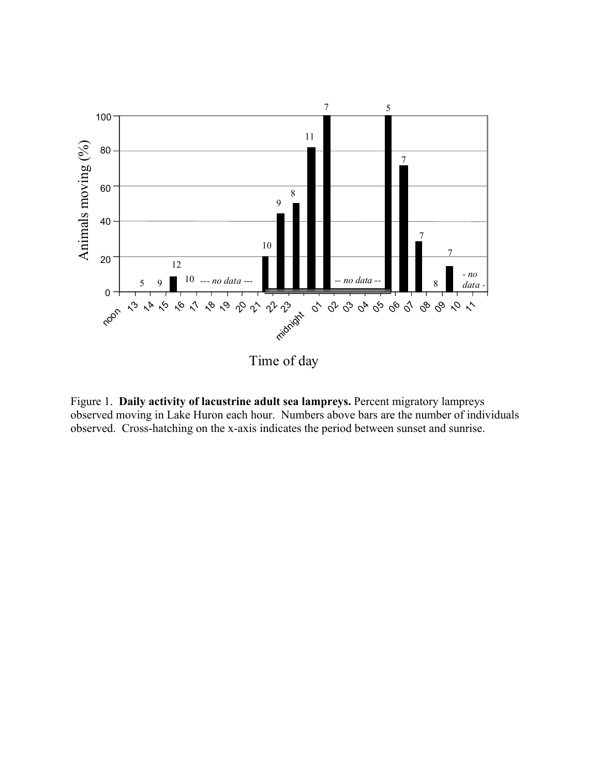

Figure 1. **Daily activity of lacustrine adult sea lampreys.** Percent migratory lampreys observed moving in Lake Huron each hour. Numbers above bars are the number of individuals observed. Cross-hatching on the x-axis indicates the period between sunset and sunrise.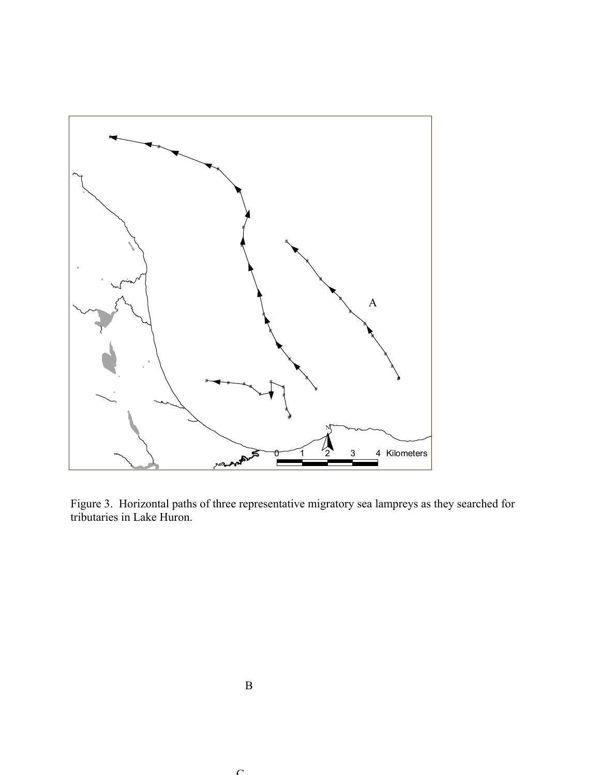

Figure 3. Horizontal paths of three representative migratory sea lampreys as they searched for tributaries in Lake Huron.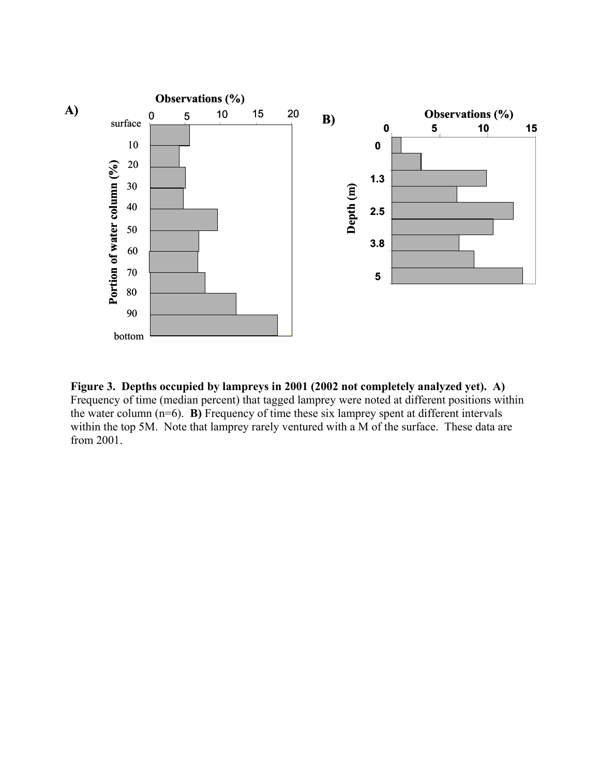

**Figure 3. Depths occupied by lampreys in 2001 (2002 not completely analyzed yet). A)** Frequency of time (median percent) that tagged lamprey were noted at different positions within the water column (n=6). **B)** Frequency of time these six lamprey spent at different intervals within the top 5M. Note that lamprey rarely ventured with a M of the surface. These data are from 2001.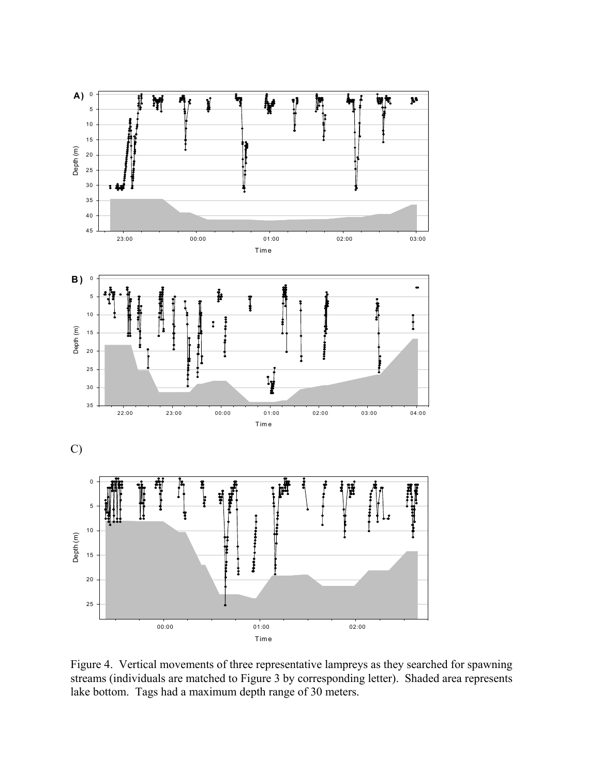

Figure 4. Vertical movements of three representative lampreys as they searched for spawning streams (individuals are matched to Figure 3 by corresponding letter). Shaded area represents lake bottom. Tags had a maximum depth range of 30 meters.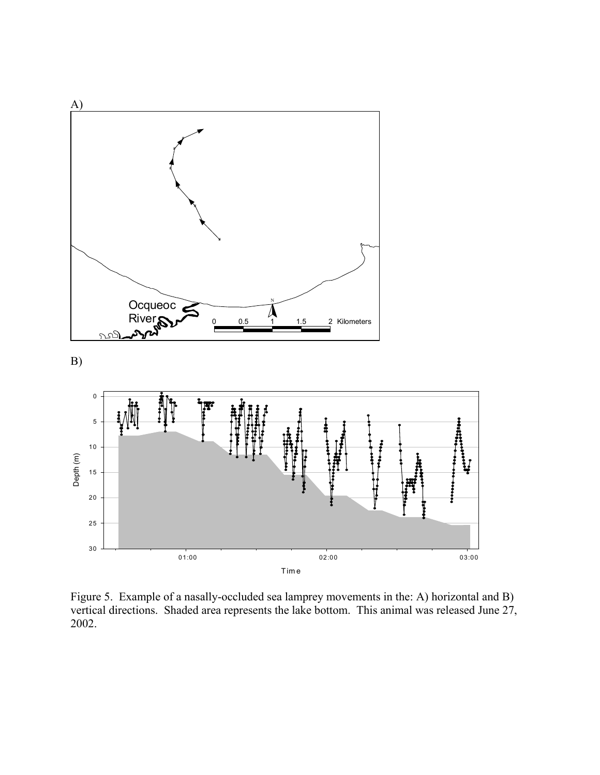

Time

01:00 02:00 03:00

Figure 5. Example of a nasally-occluded sea lamprey movements in the: A) horizontal and B) vertical directions. Shaded area represents the lake bottom. This animal was released June 27, 2002.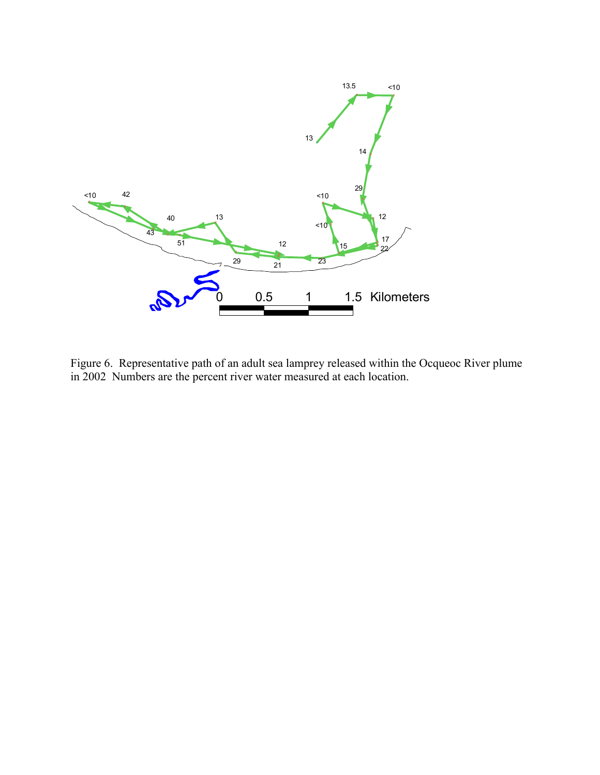

Figure 6. Representative path of an adult sea lamprey released within the Ocqueoc River plume in 2002 Numbers are the percent river water measured at each location.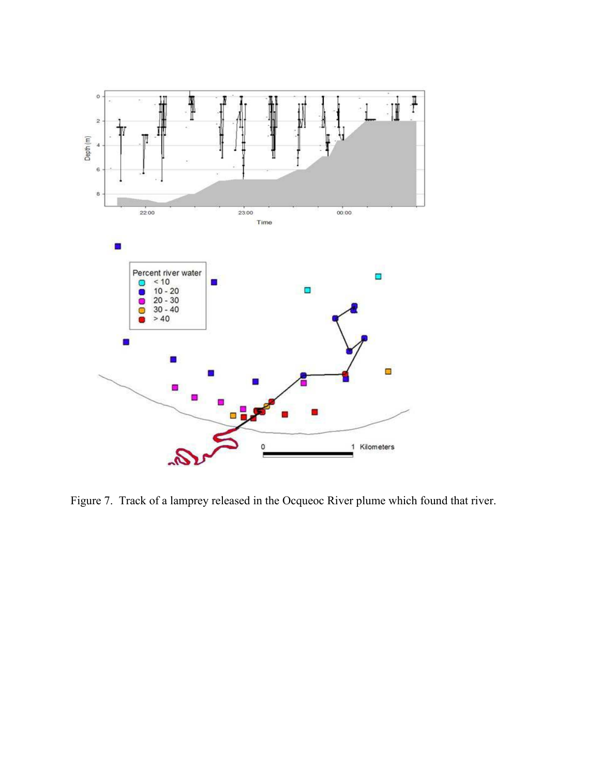

Figure 7. Track of a lamprey released in the Ocqueoc River plume which found that river.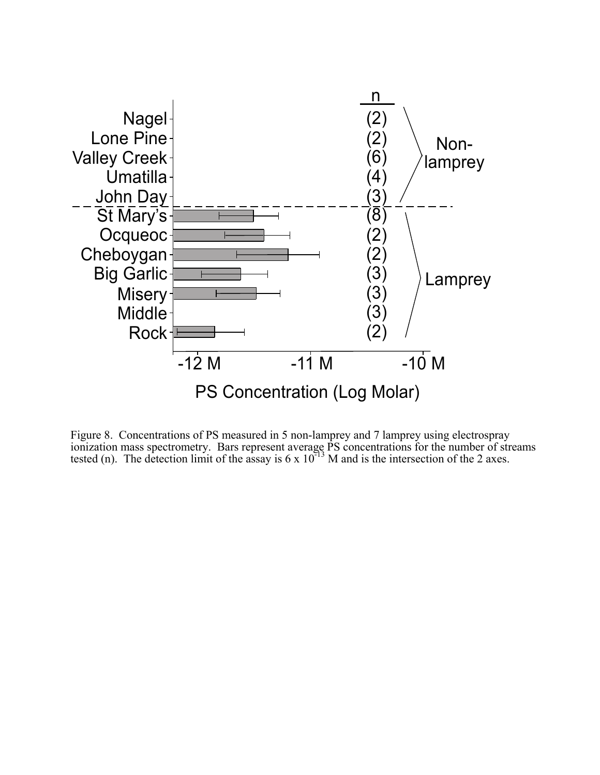

Figure 8. Concentrations of PS measured in 5 non-lamprey and 7 lamprey using electrospray ionization mass spectrometry. Bars represent average PS concentrations for the number of streams tested (n). The detection limit of the assay is  $6 \times 10^{-13}$  M and is the intersection of the 2 axes.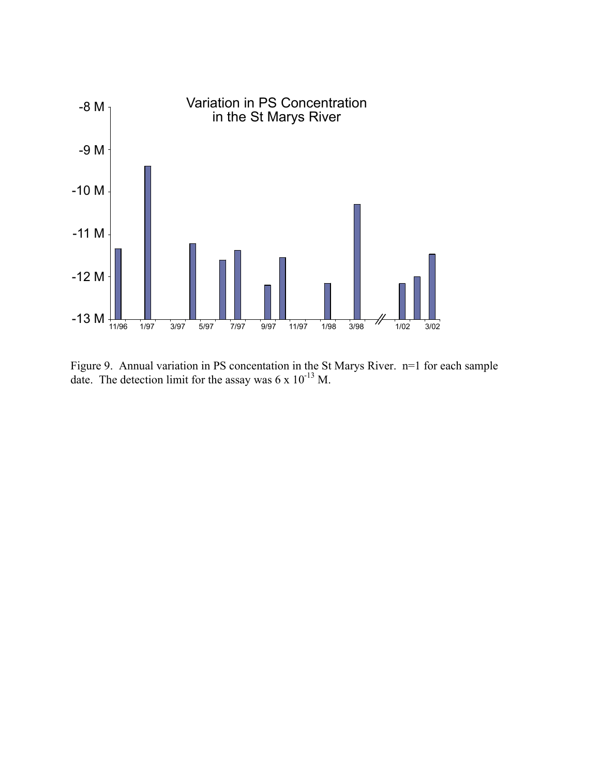

Figure 9. Annual variation in PS concentation in the St Marys River. n=1 for each sample date. The detection limit for the assay was  $6 \times 10^{-13}$  M.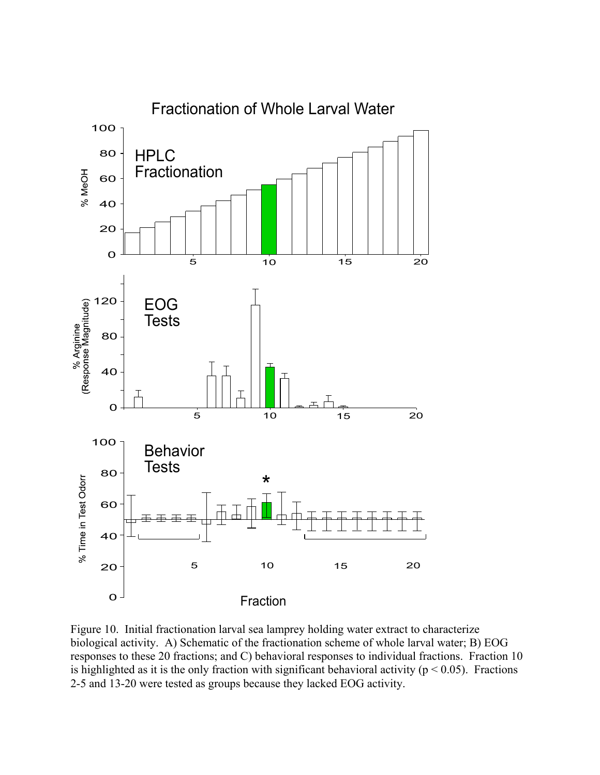

Figure 10. Initial fractionation larval sea lamprey holding water extract to characterize biological activity. A) Schematic of the fractionation scheme of whole larval water; B) EOG responses to these 20 fractions; and C) behavioral responses to individual fractions. Fraction 10 is highlighted as it is the only fraction with significant behavioral activity ( $p < 0.05$ ). Fractions 2-5 and 13-20 were tested as groups because they lacked EOG activity.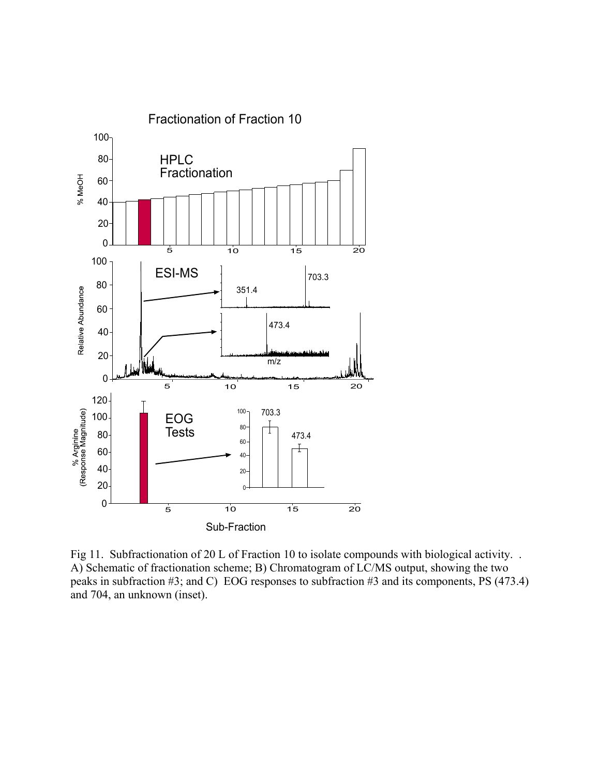

Fig 11. Subfractionation of 20 L of Fraction 10 to isolate compounds with biological activity. . A) Schematic of fractionation scheme; B) Chromatogram of LC/MS output, showing the two peaks in subfraction #3; and C) EOG responses to subfraction #3 and its components, PS (473.4) and 704, an unknown (inset).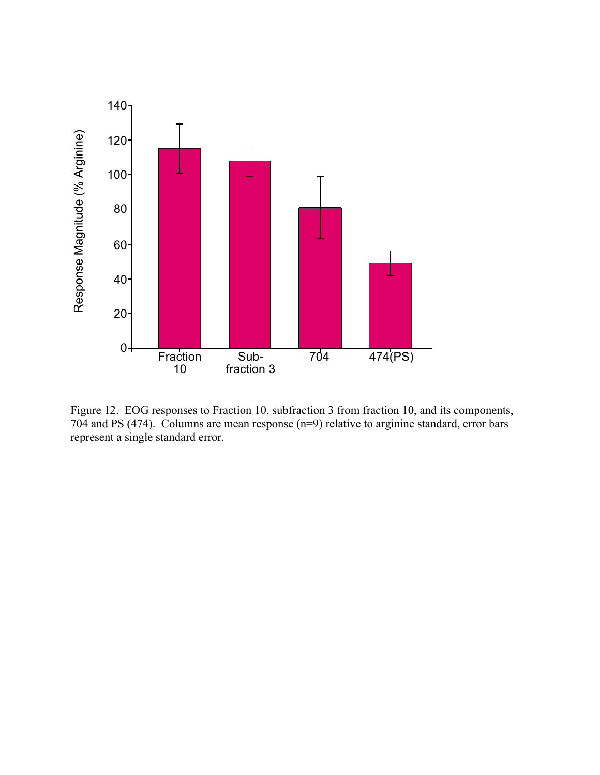

Figure 12. EOG responses to Fraction 10, subfraction 3 from fraction 10, and its components, 704 and PS (474). Columns are mean response (n=9) relative to arginine standard, error bars represent a single standard error.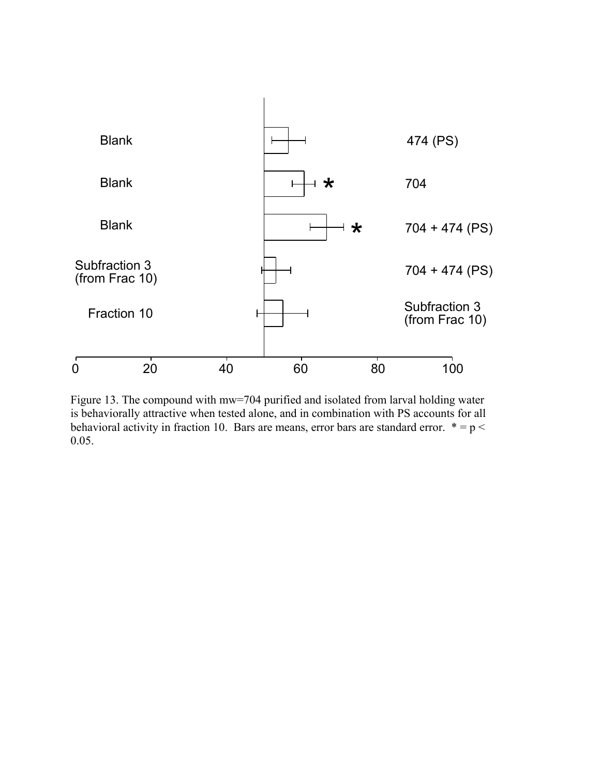

Figure 13. The compound with mw=704 purified and isolated from larval holding water is behaviorally attractive when tested alone, and in combination with PS accounts for all behavioral activity in fraction 10. Bars are means, error bars are standard error.  $* = p <$ 0.05.